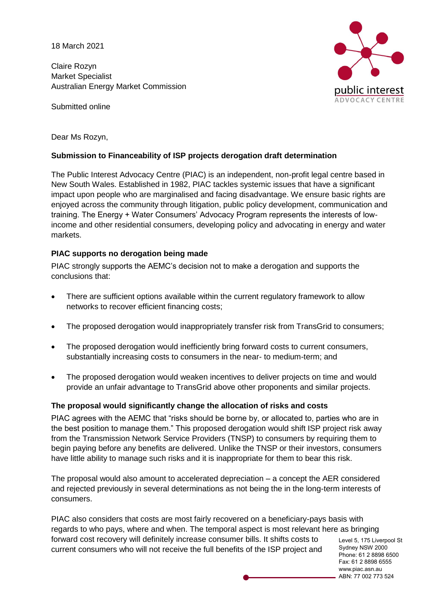18 March 2021

Claire Rozyn Market Specialist Australian Energy Market Commission

Submitted online



Dear Ms Rozyn,

## **Submission to Financeability of ISP projects derogation draft determination**

The Public Interest Advocacy Centre (PIAC) is an independent, non-profit legal centre based in New South Wales. Established in 1982, PIAC tackles systemic issues that have a significant impact upon people who are marginalised and facing disadvantage. We ensure basic rights are enjoyed across the community through litigation, public policy development, communication and training. The Energy + Water Consumers' Advocacy Program represents the interests of lowincome and other residential consumers, developing policy and advocating in energy and water markets.

## **PIAC supports no derogation being made**

PIAC strongly supports the AEMC's decision not to make a derogation and supports the conclusions that:

- There are sufficient options available within the current regulatory framework to allow networks to recover efficient financing costs;
- The proposed derogation would inappropriately transfer risk from TransGrid to consumers;
- The proposed derogation would inefficiently bring forward costs to current consumers, substantially increasing costs to consumers in the near- to medium-term; and
- The proposed derogation would weaken incentives to deliver projects on time and would provide an unfair advantage to TransGrid above other proponents and similar projects.

#### **The proposal would significantly change the allocation of risks and costs**

PIAC agrees with the AEMC that "risks should be borne by, or allocated to, parties who are in the best position to manage them." This proposed derogation would shift ISP project risk away from the Transmission Network Service Providers (TNSP) to consumers by requiring them to begin paying before any benefits are delivered. Unlike the TNSP or their investors, consumers have little ability to manage such risks and it is inappropriate for them to bear this risk.

The proposal would also amount to accelerated depreciation – a concept the AER considered and rejected previously in several determinations as not being the in the long-term interests of consumers.

PIAC also considers that costs are most fairly recovered on a beneficiary-pays basis with regards to who pays, where and when. The temporal aspect is most relevant here as bringing forward cost recovery will definitely increase consumer bills. It shifts costs to current consumers who will not receive the full benefits of the ISP project and

Level 5, 175 Liverpool St Sydney NSW 2000 Phone: 61 2 8898 6500 Fax: 61 2 8898 6555 www.piac.asn.au ABN: 77 002 773 524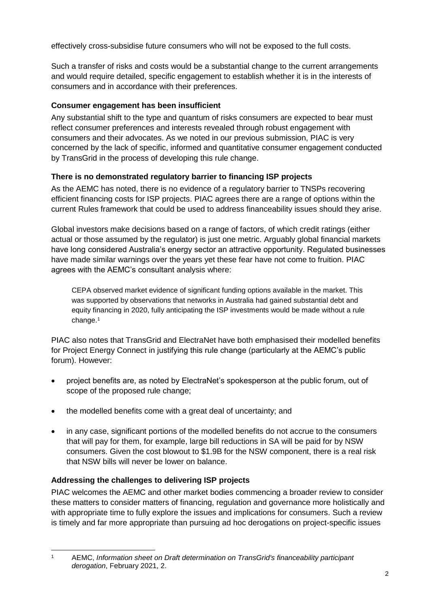effectively cross-subsidise future consumers who will not be exposed to the full costs.

Such a transfer of risks and costs would be a substantial change to the current arrangements and would require detailed, specific engagement to establish whether it is in the interests of consumers and in accordance with their preferences.

# **Consumer engagement has been insufficient**

Any substantial shift to the type and quantum of risks consumers are expected to bear must reflect consumer preferences and interests revealed through robust engagement with consumers and their advocates. As we noted in our previous submission, PIAC is very concerned by the lack of specific, informed and quantitative consumer engagement conducted by TransGrid in the process of developing this rule change.

# **There is no demonstrated regulatory barrier to financing ISP projects**

As the AEMC has noted, there is no evidence of a regulatory barrier to TNSPs recovering efficient financing costs for ISP projects. PIAC agrees there are a range of options within the current Rules framework that could be used to address financeability issues should they arise.

Global investors make decisions based on a range of factors, of which credit ratings (either actual or those assumed by the regulator) is just one metric. Arguably global financial markets have long considered Australia's energy sector an attractive opportunity. Regulated businesses have made similar warnings over the years yet these fear have not come to fruition. PIAC agrees with the AEMC's consultant analysis where:

CEPA observed market evidence of significant funding options available in the market. This was supported by observations that networks in Australia had gained substantial debt and equity financing in 2020, fully anticipating the ISP investments would be made without a rule change.<sup>1</sup>

PIAC also notes that TransGrid and ElectraNet have both emphasised their modelled benefits for Project Energy Connect in justifying this rule change (particularly at the AEMC's public forum). However:

- project benefits are, as noted by ElectraNet's spokesperson at the public forum, out of scope of the proposed rule change;
- the modelled benefits come with a great deal of uncertainty; and
- in any case, significant portions of the modelled benefits do not accrue to the consumers that will pay for them, for example, large bill reductions in SA will be paid for by NSW consumers. Given the cost blowout to \$1.9B for the NSW component, there is a real risk that NSW bills will never be lower on balance.

# **Addressing the challenges to delivering ISP projects**

PIAC welcomes the AEMC and other market bodies commencing a broader review to consider these matters to consider matters of financing, regulation and governance more holistically and with appropriate time to fully explore the issues and implications for consumers. Such a review is timely and far more appropriate than pursuing ad hoc derogations on project-specific issues

 $\mathbf{1}$ <sup>1</sup> AEMC, *Information sheet on Draft determination on TransGrid's financeability participant derogation*, February 2021, 2.